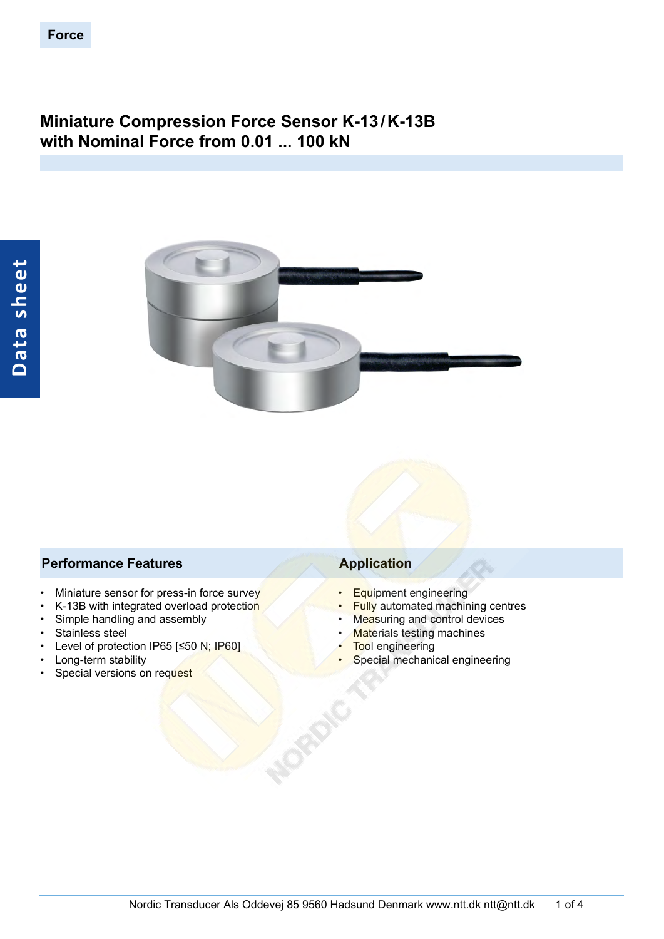# **Miniature Compression Force Sensor K-13/K-13B with Nominal Force from 0.01 ... 100 kN**



### **Performance Features Application**

- Miniature sensor for press-in force survey
- K-13B with integrated overload protection
- Simple handling and assembly
- Stainless steel
- Level of protection IP65 [≤50 N; IP60]
- Long-term stability
- Special versions on request

- Equipment engineering
- **Fully automated machining centres**
- Measuring and control devices
- **Materials testing machines**
- **Tool engineering**
- Special mechanical engineering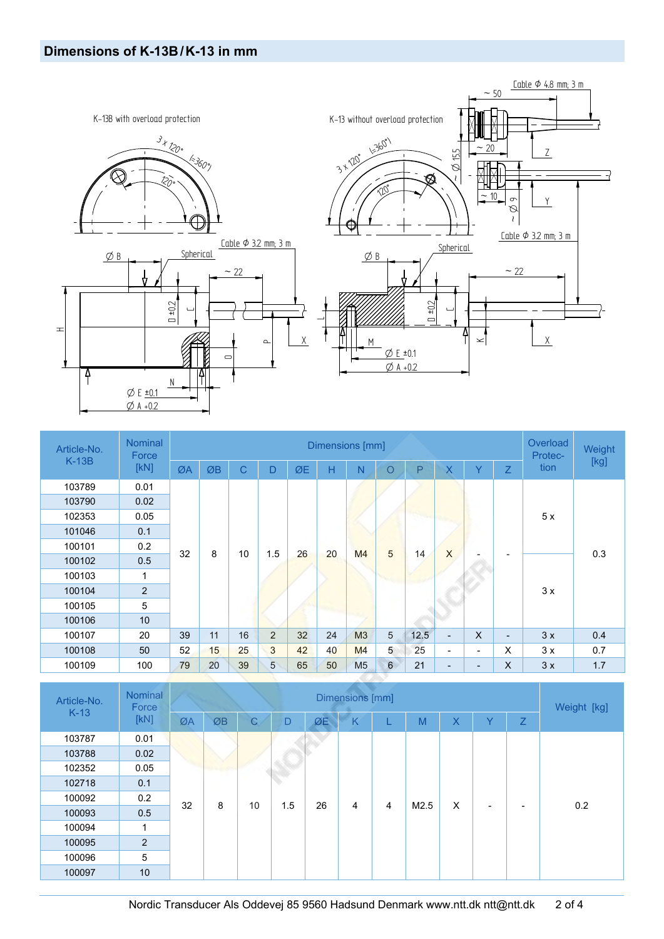

| Article-No. | <b>Nominal</b><br>Force | Dimensions [mm] |    |    |   |                 |    |                |                 |      |                          | <b>Overload</b><br>Protec-           | Weight                   |      |      |     |  |
|-------------|-------------------------|-----------------|----|----|---|-----------------|----|----------------|-----------------|------|--------------------------|--------------------------------------|--------------------------|------|------|-----|--|
| $K-13B$     | [KN]                    | ØA              | ØB | C  | D | ØE              | Н  | N              | $\circ$         | P    | $\overline{\mathsf{X}}$  | Ÿ                                    | Z                        | tion | [kg] |     |  |
| 103789      | 0.01                    |                 |    |    |   |                 |    |                |                 |      |                          |                                      |                          |      |      |     |  |
| 103790      | 0.02                    |                 |    |    |   |                 |    |                |                 |      |                          |                                      |                          |      |      |     |  |
| 102353      | 0.05                    |                 |    |    |   |                 |    |                |                 |      |                          |                                      |                          | 5x   |      |     |  |
| 101046      | 0.1                     |                 |    |    |   |                 |    |                |                 |      |                          |                                      |                          |      |      |     |  |
| 100101      | 0.2                     | 32              |    |    |   |                 |    | 8              | 10              | 1.5  | 26                       | 5<br>X<br>20<br>M <sub>4</sub><br>14 |                          |      |      | 0.3 |  |
| 100102      | 0.5                     |                 |    |    |   |                 |    |                |                 |      |                          |                                      |                          |      |      |     |  |
| 100103      | 1                       |                 |    |    |   |                 |    |                |                 |      |                          |                                      |                          |      |      |     |  |
| 100104      | $\overline{2}$          |                 |    |    |   |                 |    |                |                 |      |                          |                                      |                          |      |      | 3x  |  |
| 100105      | 5                       |                 |    |    |   |                 |    |                |                 |      |                          |                                      |                          |      |      |     |  |
| 100106      | 10                      |                 |    |    |   |                 |    |                |                 |      |                          |                                      |                          |      |      |     |  |
| 100107      | 20                      | 39              | 11 | 16 | 2 | 32 <sup>2</sup> | 24 | M3             | $\overline{5}$  | 12.5 | $\overline{\phantom{a}}$ | $\mathsf{X}$                         | $\overline{\phantom{a}}$ | 3x   | 0.4  |     |  |
| 100108      | 50                      | 52              | 15 | 25 | 3 | 42              | 40 | M <sub>4</sub> | 5               | 25   | $\overline{\phantom{0}}$ | ۰.                                   | X                        | 3x   | 0.7  |     |  |
| 100109      | 100                     | 79              | 20 | 39 | 5 | 65              | 50 | M <sub>5</sub> | $6\phantom{.}6$ | 21   | $\overline{\phantom{a}}$ | $\overline{\phantom{a}}$             | X                        | 3x   | 1.7  |     |  |

| Article-No. | Nominal<br>Force |    |         |              | Dimensions [mm] |    |   |                |      |   |   |   | Weight [kg] |  |
|-------------|------------------|----|---------|--------------|-----------------|----|---|----------------|------|---|---|---|-------------|--|
| $K-13$      | [KN]             |    | ØB      | $\mathsf{C}$ | D               | ØE | K |                | M    | X | v | Z |             |  |
| 103787      | 0.01             |    |         |              |                 |    |   |                |      |   |   |   |             |  |
| 103788      | 0.02             |    |         |              |                 |    |   |                |      |   |   |   |             |  |
| 102352      | 0.05             |    | 90 A 16 |              |                 |    |   |                |      |   |   |   |             |  |
| 102718      | 0.1              |    |         |              |                 |    |   |                |      |   |   |   |             |  |
| 100092      | 0.2              | 32 | 8       | 10           | 1.5             | 26 | 4 | $\overline{4}$ | M2.5 | X | - | - | 0.2         |  |
| 100093      | 0.5              |    |         |              |                 |    |   |                |      |   |   |   |             |  |
| 100094      | 1                |    |         |              |                 |    |   |                |      |   |   |   |             |  |
| 100095      | 2                |    |         |              |                 |    |   |                |      |   |   |   |             |  |
| 100096      | 5                |    |         |              |                 |    |   |                |      |   |   |   |             |  |
| 100097      | 10               |    |         |              |                 |    |   |                |      |   |   |   |             |  |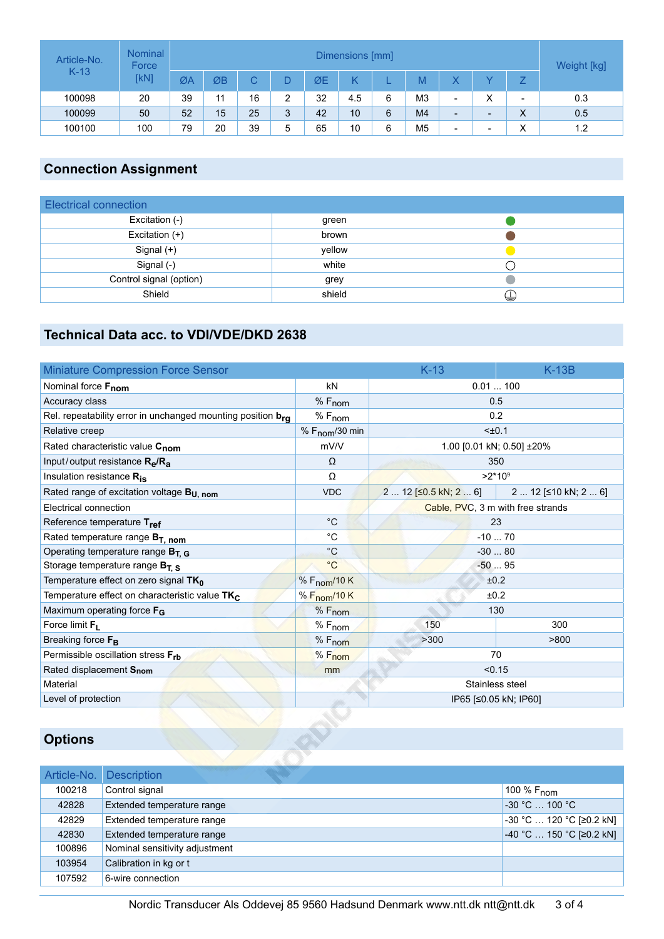| Article-No. | Dimensions [mm] |    |    |    |   |    |     |   |                |                          | Weight [kg] |                   |     |
|-------------|-----------------|----|----|----|---|----|-----|---|----------------|--------------------------|-------------|-------------------|-----|
| $K-13$      | [kN]            | ØA | ØB |    |   | ØE |     |   | M              |                          |             |                   |     |
| 100098      | 20              | 39 | 11 | 16 | っ | 32 | 4.5 | 6 | MЗ             | $\overline{\phantom{a}}$ | v<br>∧      | -                 | 0.3 |
| 100099      | 50              | 52 | 15 | 25 | 3 | 42 | 10  | 6 | M <sub>4</sub> | $\sim$                   | -           | $\checkmark$<br>∧ | 0.5 |
| 100100      | 100             | 79 | 20 | 39 | 5 | 65 | 10  | 6 | M5             | $\overline{\phantom{a}}$ | -           | $\checkmark$<br>⌒ | 1.2 |

# **Connection Assignment**

| Electrical connection   |        |   |
|-------------------------|--------|---|
| Excitation (-)          | green  |   |
| Excitation $(+)$        | brown  |   |
| Signal $(+)$            | yellow |   |
| Signal (-)              | white  |   |
| Control signal (option) | grey   |   |
| Shield                  | shield | ₩ |

## **Technical Data acc. to VDI/VDE/DKD 2638**

| <b>Miniature Compression Force Sensor</b>                   |                            | $K-13$                            | $K-13B$              |  |  |  |
|-------------------------------------------------------------|----------------------------|-----------------------------------|----------------------|--|--|--|
| Nominal force Fnom                                          | kN                         | 0.01100                           |                      |  |  |  |
| Accuracy class                                              | $%F_{nom}$                 | 0.5                               |                      |  |  |  |
| Rel. repeatability error in unchanged mounting position bra | $%F_{nom}$                 | 0.2                               |                      |  |  |  |
| Relative creep                                              | % F <sub>nom</sub> /30 min | $±0.1$                            |                      |  |  |  |
| Rated characteristic value C <sub>nom</sub>                 | mV/V                       | 1.00 [0.01 kN; 0.50] ±20%         |                      |  |  |  |
| Input/output resistance $R_{\rm e}/R_{\rm a}$               | $\Omega$                   | 350                               |                      |  |  |  |
| Insulation resistance R <sub>is</sub>                       | Ω                          | $>2*10^9$                         |                      |  |  |  |
| Rated range of excitation voltage B <sub>U, nom</sub>       | <b>VDC</b>                 | $2 12$ [ $\leq$ 0.5 kN; 2  6]     | 2  12 [≤10 kN; 2  6] |  |  |  |
| Electrical connection                                       |                            | Cable, PVC, 3 m with free strands |                      |  |  |  |
| Reference temperature Tref                                  | $^{\circ}$ C               | 23                                |                      |  |  |  |
| Rated temperature range $B_{T, nom}$                        | $^{\circ}C$                | $-1070$                           |                      |  |  |  |
| Operating temperature range BT. G                           | $^{\circ}C$                | $-3080$                           |                      |  |  |  |
| Storage temperature range $B_T$ s                           | $^{\circ}C$                | $-5095$                           |                      |  |  |  |
| Temperature effect on zero signal $TK_0$                    | % F <sub>nom</sub> /10 K   | ±0.2                              |                      |  |  |  |
| Temperature effect on characteristic value TK <sub>C</sub>  | % F <sub>nom</sub> /10 K   | ±0.2                              |                      |  |  |  |
| Maximum operating force F <sub>G</sub>                      | $%F_{nom}$                 | 130                               |                      |  |  |  |
| Force limit $F_L$                                           | $%F_{nom}$                 | 150                               | 300                  |  |  |  |
| Breaking force F <sub>B</sub>                               | % F <sub>nom</sub>         | >300                              | >800                 |  |  |  |
| Permissible oscillation stress Frb                          | $%F_{nom}$                 | 70                                |                      |  |  |  |
| Rated displacement Snom                                     | mm                         | < 0.15                            |                      |  |  |  |
| Material                                                    |                            | Stainless steel                   |                      |  |  |  |
| Level of protection                                         |                            | IP65 [≤0.05 kN; IP60]             |                      |  |  |  |

## **Options**

|        | Article-No. Description        |                           |
|--------|--------------------------------|---------------------------|
| 100218 | Control signal                 | 100 % F <sub>nom</sub>    |
| 42828  | Extended temperature range     | $-30 °C$ 100 °C           |
| 42829  | Extended temperature range     | -30 °C  120 °C [≥0.2 kN]  |
| 42830  | Extended temperature range     | $-40 °C$ 150 °C [≥0.2 kN] |
| 100896 | Nominal sensitivity adjustment |                           |
| 103954 | Calibration in kg or t         |                           |
| 107592 | 6-wire connection              |                           |